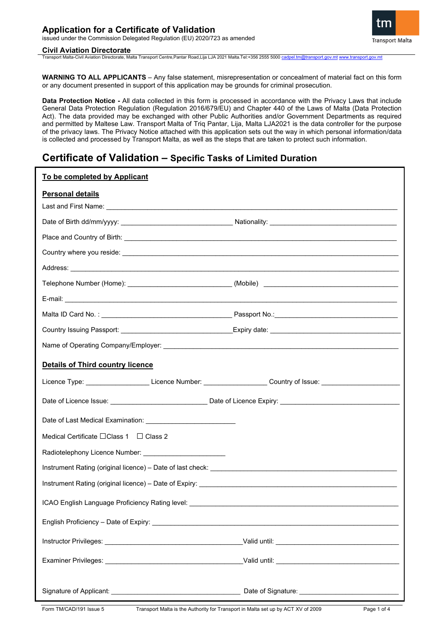#### **Civil Aviation Directorate**

Transport Malta-Civil Aviation Directorate, Malta Transport Centre,Pantar Road,Lija LJA 2021 Malta.Tel:+356 2555 5000 [cadpel.tm@transport.gov.mt](mailto:cadpel.tm@transport.gov.mt) [www.transport.gov.mt](http://www.transport.gov.mt/)

**WARNING TO ALL APPLICANTS** – Any false statement, misrepresentation or concealment of material fact on this form or any document presented in support of this application may be grounds for criminal prosecution.

**Data Protection Notice -** All data collected in this form is processed in accordance with the Privacy Laws that include General Data Protection Regulation (Regulation 2016/679/EU) and Chapter 440 of the Laws of Malta (Data Protection Act). The data provided may be exchanged with other Public Authorities and/or Government Departments as required and permitted by Maltese Law. Transport Malta of Triq Pantar, Lija, Malta LJA2021 is the data controller for the purpose of the privacy laws. The Privacy Notice attached with this application sets out the way in which personal information/data is collected and processed by Transport Malta, as well as the steps that are taken to protect such information.

# **Certificate of Validation – Specific Tasks of Limited Duration**

| To be completed by Applicant                                                                                                                                                                                                         |  |
|--------------------------------------------------------------------------------------------------------------------------------------------------------------------------------------------------------------------------------------|--|
| <b>Personal details</b>                                                                                                                                                                                                              |  |
|                                                                                                                                                                                                                                      |  |
|                                                                                                                                                                                                                                      |  |
|                                                                                                                                                                                                                                      |  |
| Country where you reside: <u>example and contract and contract and contract and contract and contract and contract and contract and contract and contract and contract and contract and contract and contract and contract and c</u> |  |
| Address: <u>Address:</u> Address: Address: Address: Address: Address: Address: Address: Address: Address: Address: Address: Address: Address: Address: Address: Address: Address: Address: Address: Address: Address: Address: Addr  |  |
|                                                                                                                                                                                                                                      |  |
|                                                                                                                                                                                                                                      |  |
|                                                                                                                                                                                                                                      |  |
|                                                                                                                                                                                                                                      |  |
|                                                                                                                                                                                                                                      |  |
| <b>Details of Third country licence</b>                                                                                                                                                                                              |  |
| Licence Type: ______________________Licence Number: ___________________Country of Issue: _____________________                                                                                                                       |  |
|                                                                                                                                                                                                                                      |  |
|                                                                                                                                                                                                                                      |  |
| Medical Certificate $\Box$ Class 1 $\Box$ Class 2                                                                                                                                                                                    |  |
|                                                                                                                                                                                                                                      |  |
|                                                                                                                                                                                                                                      |  |
|                                                                                                                                                                                                                                      |  |
| ICAO English Language Proficiency Rating level:                                                                                                                                                                                      |  |
|                                                                                                                                                                                                                                      |  |
|                                                                                                                                                                                                                                      |  |
|                                                                                                                                                                                                                                      |  |
|                                                                                                                                                                                                                                      |  |
|                                                                                                                                                                                                                                      |  |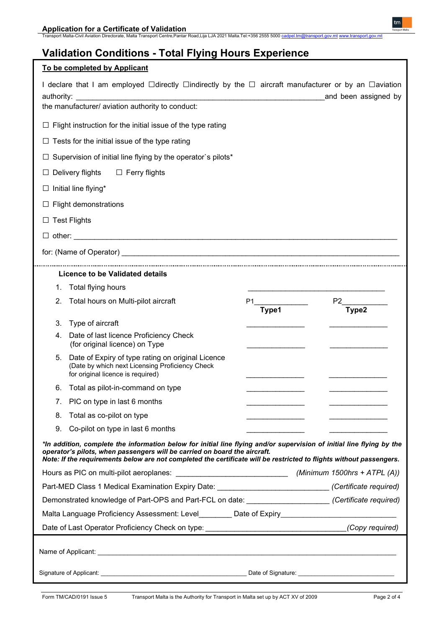| To be completed by Applicant                                                                                                                                                                                                                                                                                              |
|---------------------------------------------------------------------------------------------------------------------------------------------------------------------------------------------------------------------------------------------------------------------------------------------------------------------------|
| I declare that I am employed $\Box$ directly $\Box$ indirectly by the $\Box$ aircraft manufacturer or by an $\Box$ aviation<br>and been assigned by<br>authority:<br>the manufacturer/ aviation authority to conduct:                                                                                                     |
| $\Box$ Flight instruction for the initial issue of the type rating                                                                                                                                                                                                                                                        |
| $\Box$ Tests for the initial issue of the type rating                                                                                                                                                                                                                                                                     |
| Supervision of initial line flying by the operator's pilots*                                                                                                                                                                                                                                                              |
| Delivery flights<br>$\Box$ Ferry flights                                                                                                                                                                                                                                                                                  |
| $\Box$ Initial line flying*                                                                                                                                                                                                                                                                                               |
| $\Box$ Flight demonstrations                                                                                                                                                                                                                                                                                              |
| $\Box$ Test Flights                                                                                                                                                                                                                                                                                                       |
|                                                                                                                                                                                                                                                                                                                           |
|                                                                                                                                                                                                                                                                                                                           |
| Licence to be Validated details                                                                                                                                                                                                                                                                                           |
| Total flying hours<br>1.                                                                                                                                                                                                                                                                                                  |
| Total hours on Multi-pilot aircraft<br>P2<br>2.<br>P1.<br>Type2<br>Type1                                                                                                                                                                                                                                                  |
| Type of aircraft<br>3.                                                                                                                                                                                                                                                                                                    |
| Date of last licence Proficiency Check<br>4.<br>(for original licence) on Type                                                                                                                                                                                                                                            |
| Date of Expiry of type rating on original Licence<br>5.<br>(Date by which next Licensing Proficiency Check<br>for original licence is required)                                                                                                                                                                           |
| Total as pilot-in-command on type<br>6.                                                                                                                                                                                                                                                                                   |
| 7. PIC on type in last 6 months                                                                                                                                                                                                                                                                                           |
| Total as co-pilot on type<br>8.                                                                                                                                                                                                                                                                                           |
| 9.<br>Co-pilot on type in last 6 months                                                                                                                                                                                                                                                                                   |
| *In addition, complete the information below for initial line flying and/or supervision of initial line flying by the<br>operator's pilots, when passengers will be carried on board the aircraft.<br>Note: If the requirements below are not completed the certificate will be restricted to flights without passengers. |
| (Minimum 1500hrs + ATPL $(A)$ )                                                                                                                                                                                                                                                                                           |
| Part-MED Class 1 Medical Examination Expiry Date: _____________________________(Certificate required)                                                                                                                                                                                                                     |
| Demonstrated knowledge of Part-OPS and Part-FCL on date: _______________________(Certificate required)                                                                                                                                                                                                                    |
| Malta Language Proficiency Assessment: Level________ Date of Expiry_________________________________                                                                                                                                                                                                                      |
| Date of Last Operator Proficiency Check on type: _______________________________<br>(Copy required)                                                                                                                                                                                                                       |
|                                                                                                                                                                                                                                                                                                                           |
|                                                                                                                                                                                                                                                                                                                           |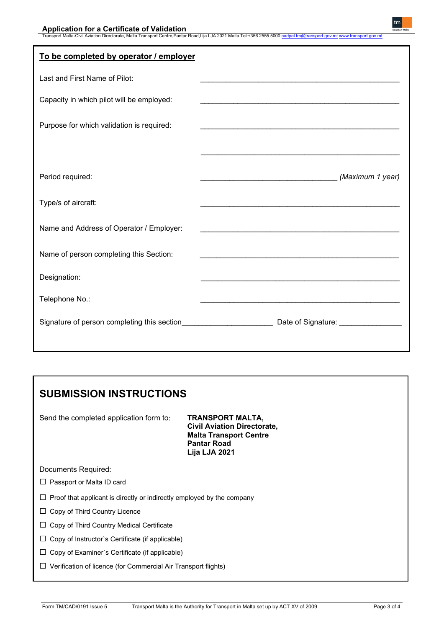| To be completed by operator / employer      |                                                                                                                       |
|---------------------------------------------|-----------------------------------------------------------------------------------------------------------------------|
| Last and First Name of Pilot:               | <u> 1989 - Johann John Stone, markin film yn y brening yn y brening yn y brening yn y brening yn y brening yn y b</u> |
| Capacity in which pilot will be employed:   | <u> 1989 - Johann John Stoff, deutscher Stoffen und der Stoffen und der Stoffen und der Stoffen und der Stoffen</u>   |
| Purpose for which validation is required:   |                                                                                                                       |
|                                             |                                                                                                                       |
| Period required:                            | (Maximum 1 year)                                                                                                      |
| Type/s of aircraft:                         |                                                                                                                       |
| Name and Address of Operator / Employer:    | <u> 1989 - Johann Stoff, amerikansk politiker (d. 1989)</u>                                                           |
| Name of person completing this Section:     |                                                                                                                       |
| Designation:                                |                                                                                                                       |
| Telephone No.:                              |                                                                                                                       |
| Signature of person completing this section | Date of Signature: _________________                                                                                  |

# **SUBMISSION INSTRUCTIONS**

Send the completed application form to: **TRANSPORT MALTA,**

**Civil Aviation Directorate, Malta Transport Centre Pantar Road Lija LJA 2021**

Documents Required:

- □ Passport or Malta ID card
- $\Box$  Proof that applicant is directly or indirectly employed by the company
- □ Copy of Third Country Licence
- □ Copy of Third Country Medical Certificate
- □ Copy of Instructor's Certificate (if applicable)
- □ Copy of Examiner's Certificate (if applicable)
- □ Verification of licence (for Commercial Air Transport flights)